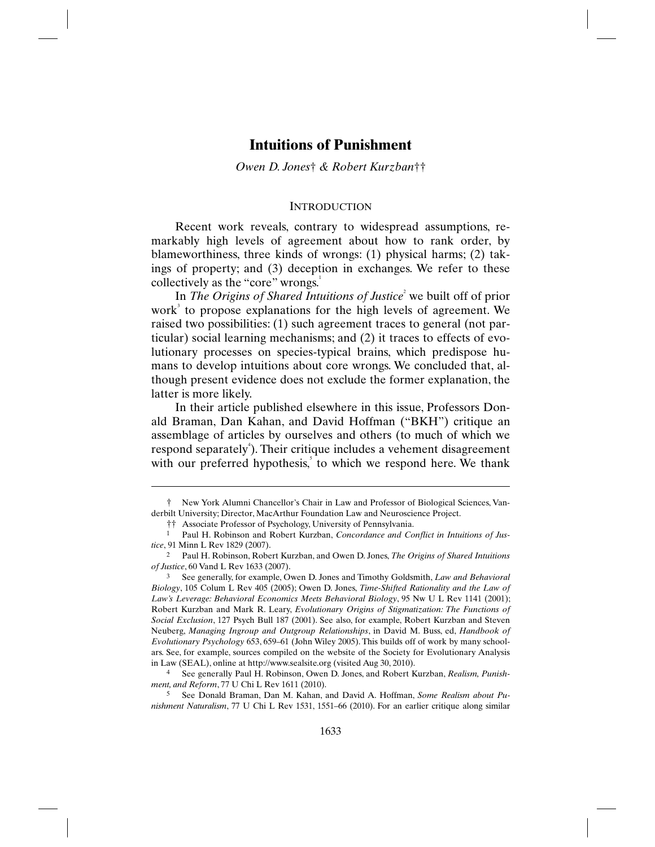# **Intuitions of Punishment**

*Owen D. Jones*† *& Robert Kurzban*††

### **INTRODUCTION**

Recent work reveals, contrary to widespread assumptions, remarkably high levels of agreement about how to rank order, by blameworthiness, three kinds of wrongs: (1) physical harms; (2) takings of property; and (3) deception in exchanges. We refer to these collectively as the "core" wrongs.<sup>1</sup>

In *The Origins of Shared Intuitions of Justice*<sup>2</sup> we built off of prior work<sup>3</sup> to propose explanations for the high levels of agreement. We raised two possibilities: (1) such agreement traces to general (not particular) social learning mechanisms; and (2) it traces to effects of evolutionary processes on species-typical brains, which predispose humans to develop intuitions about core wrongs. We concluded that, although present evidence does not exclude the former explanation, the latter is more likely.

In their article published elsewhere in this issue, Professors Donald Braman, Dan Kahan, and David Hoffman ("BKH") critique an assemblage of articles by ourselves and others (to much of which we respond separately<sup>4</sup>). Their critique includes a vehement disagreement with our preferred hypothesis, to which we respond here. We thank

<sup>†</sup> New York Alumni Chancellor's Chair in Law and Professor of Biological Sciences, Vanderbilt University; Director, MacArthur Foundation Law and Neuroscience Project.

<sup>††</sup> Associate Professor of Psychology, University of Pennsylvania.

<sup>&</sup>lt;sup>1</sup> Paul H. Robinson and Robert Kurzban, *Concordance and Conflict in Intuitions of Justice*, 91 Minn L Rev 1829 (2007).

<sup>2</sup> Paul H. Robinson, Robert Kurzban, and Owen D. Jones, *The Origins of Shared Intuitions of Justice*, 60 Vand L Rev 1633 (2007).

<sup>3</sup> See generally, for example, Owen D. Jones and Timothy Goldsmith, *Law and Behavioral Biology*, 105 Colum L Rev 405 (2005); Owen D. Jones, *Time-Shifted Rationality and the Law of Law's Leverage: Behavioral Economics Meets Behavioral Biology*, 95 Nw U L Rev 1141 (2001); Robert Kurzban and Mark R. Leary, *Evolutionary Origins of Stigmatization: The Functions of Social Exclusion*, 127 Psych Bull 187 (2001). See also, for example, Robert Kurzban and Steven Neuberg, *Managing Ingroup and Outgroup Relationships*, in David M. Buss, ed, *Handbook of Evolutionary Psychology* 653, 659–61 (John Wiley 2005). This builds off of work by many schoolars. See, for example, sources compiled on the website of the Society for Evolutionary Analysis in Law (SEAL), online at http://www.sealsite.org (visited Aug 30, 2010).

<sup>4</sup> See generally Paul H. Robinson, Owen D. Jones, and Robert Kurzban, *Realism, Punishment, and Reform*, 77 U Chi L Rev 1611 (2010).

<sup>5</sup> See Donald Braman, Dan M. Kahan, and David A. Hoffman, *Some Realism about Punishment Naturalism*, 77 U Chi L Rev 1531, 1551–66 (2010). For an earlier critique along similar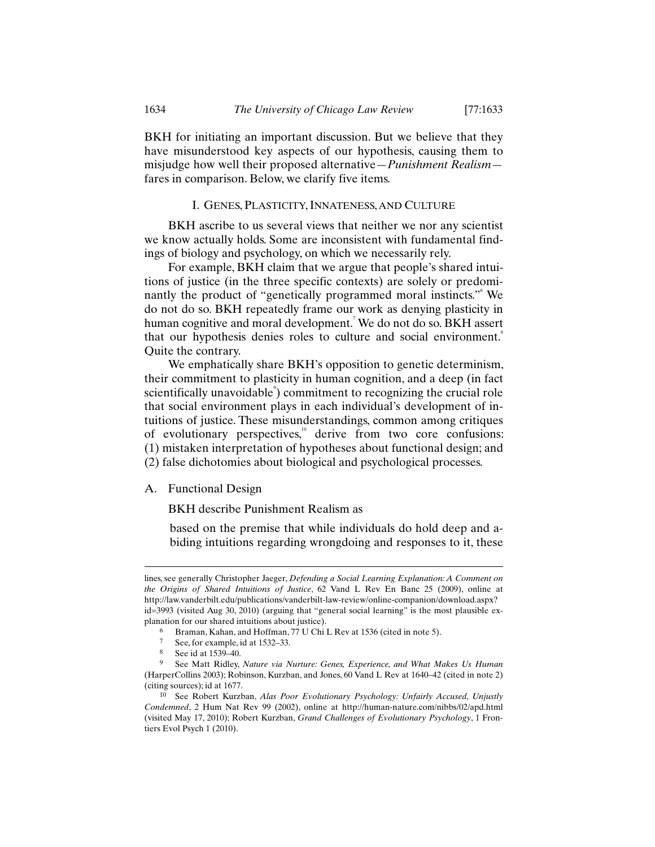BKH for initiating an important discussion. But we believe that they have misunderstood key aspects of our hypothesis, causing them to misjudge how well their proposed alternative—*Punishment Realism* fares in comparison. Below, we clarify five items.

# I. GENES, PLASTICITY, INNATENESS, AND CULTURE

BKH ascribe to us several views that neither we nor any scientist we know actually holds. Some are inconsistent with fundamental findings of biology and psychology, on which we necessarily rely.

For example, BKH claim that we argue that people's shared intuitions of justice (in the three specific contexts) are solely or predominantly the product of "genetically programmed moral instincts." We do not do so. BKH repeatedly frame our work as denying plasticity in human cognitive and moral development.<sup>7</sup> We do not do so. BKH assert that our hypothesis denies roles to culture and social environment.<sup>8</sup> Quite the contrary.

We emphatically share BKH's opposition to genetic determinism, their commitment to plasticity in human cognition, and a deep (in fact scientifically unavoidable<sup>9</sup>) commitment to recognizing the crucial role that social environment plays in each individual's development of intuitions of justice. These misunderstandings, common among critiques of evolutionary perspectives, $\mu$ <sup>0</sup> derive from two core confusions: (1) mistaken interpretation of hypotheses about functional design; and (2) false dichotomies about biological and psychological processes.

A. Functional Design

BKH describe Punishment Realism as

based on the premise that while individuals do hold deep and abiding intuitions regarding wrongdoing and responses to it, these

lines, see generally Christopher Jaeger, *Defending a Social Learning Explanation: A Comment on the Origins of Shared Intuitions of Justice*, 62 Vand L Rev En Banc 25 (2009), online at http://law.vanderbilt.edu/publications/vanderbilt-law-review/online-companion/download.aspx? id=3993 (visited Aug 30, 2010) (arguing that "general social learning" is the most plausible explanation for our shared intuitions about justice).

<sup>6</sup> Braman, Kahan, and Hoffman, 77 U Chi L Rev at 1536 (cited in note 5).<br>  $\frac{5}{7}$  See for example id at 1532 33

See, for example, id at 1532–33.

<sup>8</sup> See id at 1539–40.

<sup>9</sup> See Matt Ridley, *Nature via Nurture: Genes, Experience, and What Makes Us Human* (HarperCollins 2003); Robinson, Kurzban, and Jones, 60 Vand L Rev at 1640–42 (cited in note 2) (citing sources); id at 1677.

<sup>10</sup> See Robert Kurzban, *Alas Poor Evolutionary Psychology: Unfairly Accused, Unjustly Condemned*, 2 Hum Nat Rev 99 (2002), online at http://human-nature.com/nibbs/02/apd.html (visited May 17, 2010); Robert Kurzban, *Grand Challenges of Evolutionary Psychology*, 1 Frontiers Evol Psych 1 (2010).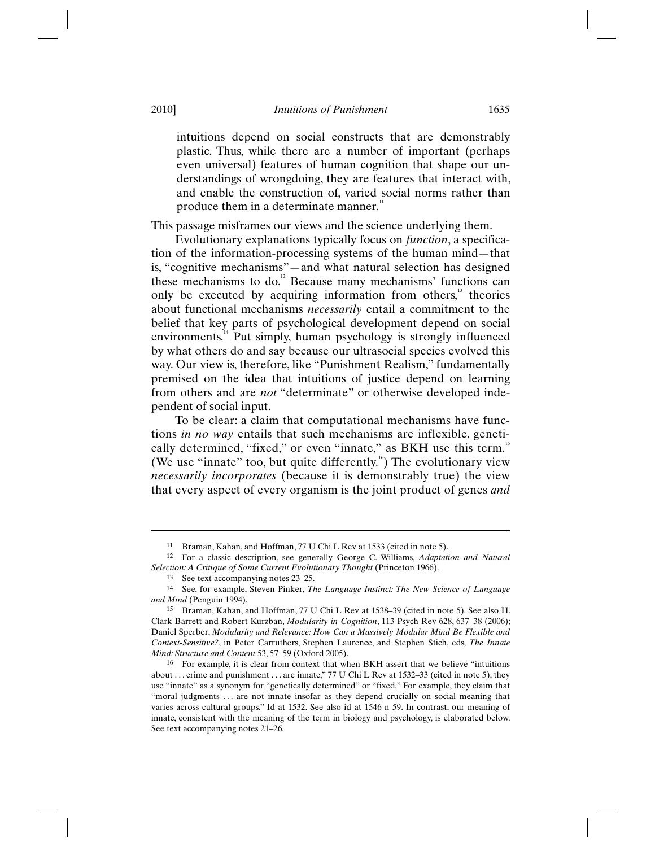### 2010] *Intuitions of Punishment* 1635

intuitions depend on social constructs that are demonstrably plastic. Thus, while there are a number of important (perhaps even universal) features of human cognition that shape our understandings of wrongdoing, they are features that interact with, and enable the construction of, varied social norms rather than produce them in a determinate manner.<sup>11</sup>

This passage misframes our views and the science underlying them.

Evolutionary explanations typically focus on *function*, a specification of the information-processing systems of the human mind—that is, "cognitive mechanisms"—and what natural selection has designed these mechanisms to do. $\degree$  Because many mechanisms' functions can only be executed by acquiring information from others,<sup>13</sup> theories about functional mechanisms *necessarily* entail a commitment to the belief that key parts of psychological development depend on social environments.<sup>14</sup> Put simply, human psychology is strongly influenced by what others do and say because our ultrasocial species evolved this way. Our view is, therefore, like "Punishment Realism," fundamentally premised on the idea that intuitions of justice depend on learning from others and are *not* "determinate" or otherwise developed independent of social input.

To be clear: a claim that computational mechanisms have functions *in no way* entails that such mechanisms are inflexible, genetically determined, "fixed," or even "innate," as BKH use this term.<sup>15</sup> (We use "innate" too, but quite differently. $\mathbf{F}^{(n)}$ ) The evolutionary view *necessarily incorporates* (because it is demonstrably true) the view that every aspect of every organism is the joint product of genes *and*

<sup>11</sup> Braman, Kahan, and Hoffman, 77 U Chi L Rev at 1533 (cited in note 5).

<sup>12</sup> For a classic description, see generally George C. Williams, *Adaptation and Natural Selection: A Critique of Some Current Evolutionary Thought* (Princeton 1966).

<sup>13</sup> See text accompanying notes 23–25.

<sup>14</sup> See, for example, Steven Pinker, *The Language Instinct: The New Science of Language and Mind* (Penguin 1994).

<sup>15</sup> Braman, Kahan, and Hoffman, 77 U Chi L Rev at 1538–39 (cited in note 5). See also H. Clark Barrett and Robert Kurzban, *Modularity in Cognition*, 113 Psych Rev 628, 637–38 (2006); Daniel Sperber, *Modularity and Relevance: How Can a Massively Modular Mind Be Flexible and Context-Sensitive?*, in Peter Carruthers, Stephen Laurence, and Stephen Stich, eds, *The Innate Mind: Structure and Content* 53, 57–59 (Oxford 2005).

<sup>16</sup> For example, it is clear from context that when BKH assert that we believe "intuitions about . . . crime and punishment . . . are innate," 77 U Chi L Rev at 1532–33 (cited in note 5), they use "innate" as a synonym for "genetically determined" or "fixed." For example, they claim that "moral judgments ... are not innate insofar as they depend crucially on social meaning that varies across cultural groups." Id at 1532. See also id at 1546 n 59. In contrast, our meaning of innate, consistent with the meaning of the term in biology and psychology, is elaborated below. See text accompanying notes 21–26.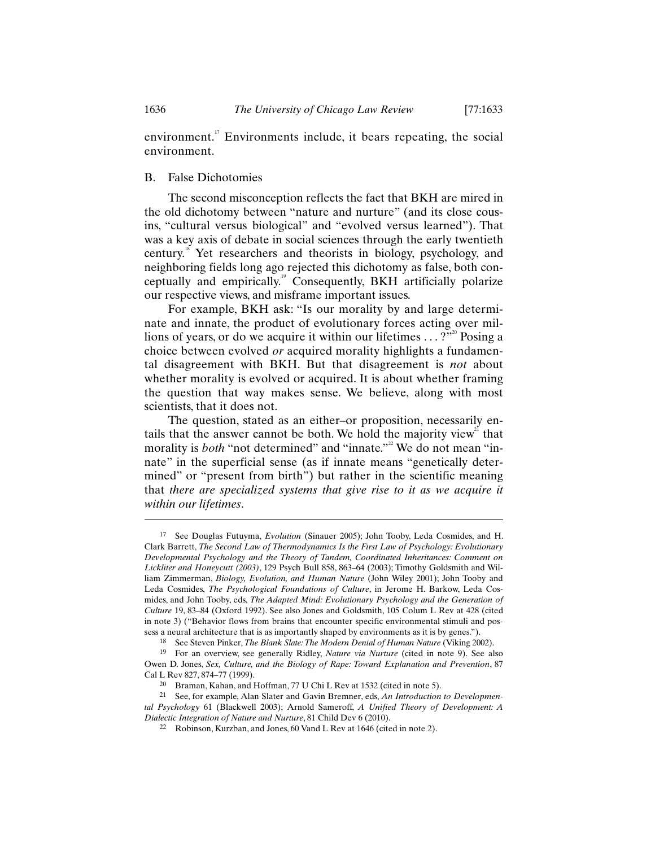environment.<sup>"</sup> Environments include, it bears repeating, the social environment.

### B. False Dichotomies

The second misconception reflects the fact that BKH are mired in the old dichotomy between "nature and nurture" (and its close cousins, "cultural versus biological" and "evolved versus learned"). That was a key axis of debate in social sciences through the early twentieth century.<sup>18</sup> Yet researchers and theorists in biology, psychology, and neighboring fields long ago rejected this dichotomy as false, both conceptually and empirically.<sup>19</sup> Consequently, BKH artificially polarize our respective views, and misframe important issues.

For example, BKH ask: "Is our morality by and large determinate and innate, the product of evolutionary forces acting over millions of years, or do we acquire it within our lifetimes  $\dots$ ?"<sup>20</sup> Posing a choice between evolved *or* acquired morality highlights a fundamental disagreement with BKH. But that disagreement is *not* about whether morality is evolved or acquired. It is about whether framing the question that way makes sense. We believe, along with most scientists, that it does not.

The question, stated as an either–or proposition, necessarily entails that the answer cannot be both. We hold the majority view<sup>21</sup> that morality is *both* "not determined" and "innate."<sup>22</sup> We do not mean "innate" in the superficial sense (as if innate means "genetically determined" or "present from birth") but rather in the scientific meaning that *there are specialized systems that give rise to it as we acquire it within our lifetimes*.

<sup>17</sup> See Douglas Futuyma, *Evolution* (Sinauer 2005); John Tooby, Leda Cosmides, and H. Clark Barrett, *The Second Law of Thermodynamics Is the First Law of Psychology: Evolutionary Developmental Psychology and the Theory of Tandem, Coordinated Inheritances: Comment on Lickliter and Honeycutt (2003)*, 129 Psych Bull 858, 863–64 (2003); Timothy Goldsmith and William Zimmerman, *Biology, Evolution, and Human Nature* (John Wiley 2001); John Tooby and Leda Cosmides, *The Psychological Foundations of Culture*, in Jerome H. Barkow, Leda Cosmides, and John Tooby, eds, *The Adapted Mind: Evolutionary Psychology and the Generation of Culture* 19, 83–84 (Oxford 1992). See also Jones and Goldsmith, 105 Colum L Rev at 428 (cited in note 3) ("Behavior flows from brains that encounter specific environmental stimuli and possess a neural architecture that is as importantly shaped by environments as it is by genes.").

<sup>18</sup> See Steven Pinker, *The Blank Slate: The Modern Denial of Human Nature* (Viking 2002).

<sup>19</sup> For an overview, see generally Ridley, *Nature via Nurture* (cited in note 9). See also Owen D. Jones, *Sex, Culture, and the Biology of Rape: Toward Explanation and Prevention*, 87 Cal L Rev 827, 874–77 (1999).

<sup>20</sup> Braman, Kahan, and Hoffman, 77 U Chi L Rev at 1532 (cited in note 5).

<sup>21</sup> See, for example, Alan Slater and Gavin Bremner, eds, *An Introduction to Developmental Psychology* 61 (Blackwell 2003); Arnold Sameroff, *A Unified Theory of Development: A Dialectic Integration of Nature and Nurture*, 81 Child Dev 6 (2010).

<sup>22</sup> Robinson, Kurzban, and Jones, 60 Vand L Rev at 1646 (cited in note 2).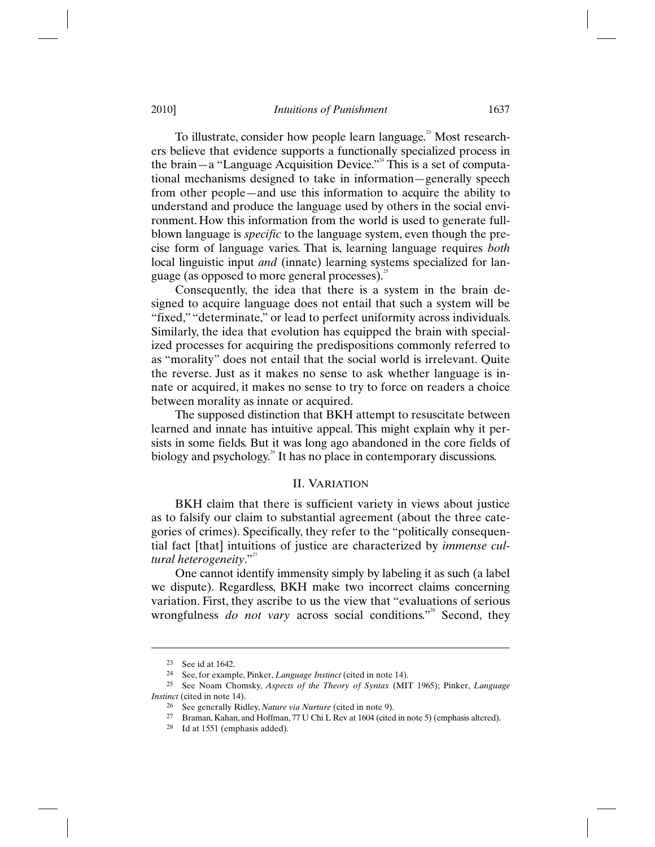#### 2010] *Intuitions of Punishment* 1637

To illustrate, consider how people learn language.<sup>23</sup> Most researchers believe that evidence supports a functionally specialized process in the brain—a "Language Acquisition Device."<sup> $24$ </sup> This is a set of computational mechanisms designed to take in information—generally speech from other people—and use this information to acquire the ability to understand and produce the language used by others in the social environment. How this information from the world is used to generate fullblown language is *specific* to the language system, even though the precise form of language varies. That is, learning language requires *both* local linguistic input *and* (innate) learning systems specialized for language (as opposed to more general processes). $^{25}$ 

Consequently, the idea that there is a system in the brain designed to acquire language does not entail that such a system will be "fixed," "determinate," or lead to perfect uniformity across individuals. Similarly, the idea that evolution has equipped the brain with specialized processes for acquiring the predispositions commonly referred to as "morality" does not entail that the social world is irrelevant. Quite the reverse. Just as it makes no sense to ask whether language is innate or acquired, it makes no sense to try to force on readers a choice between morality as innate or acquired.

The supposed distinction that BKH attempt to resuscitate between learned and innate has intuitive appeal. This might explain why it persists in some fields. But it was long ago abandoned in the core fields of biology and psychology. $\delta$  It has no place in contemporary discussions.

# II. VARIATION

BKH claim that there is sufficient variety in views about justice as to falsify our claim to substantial agreement (about the three categories of crimes). Specifically, they refer to the "politically consequential fact [that] intuitions of justice are characterized by *immense cultural heterogeneity.*"

One cannot identify immensity simply by labeling it as such (a label we dispute). Regardless, BKH make two incorrect claims concerning variation. First, they ascribe to us the view that "evaluations of serious wrongfulness *do not vary* across social conditions."<sup>28</sup> Second, they

<sup>23</sup> See id at 1642.

<sup>24</sup> See, for example, Pinker, *Language Instinct* (cited in note 14).

<sup>25</sup> See Noam Chomsky, *Aspects of the Theory of Syntax* (MIT 1965); Pinker, *Language Instinct* (cited in note 14).

<sup>26</sup> See generally Ridley, *Nature via Nurture* (cited in note 9).

Braman, Kahan, and Hoffman, 77 U Chi L Rev at 1604 (cited in note 5) (emphasis altered).

<sup>28</sup> Id at 1551 (emphasis added).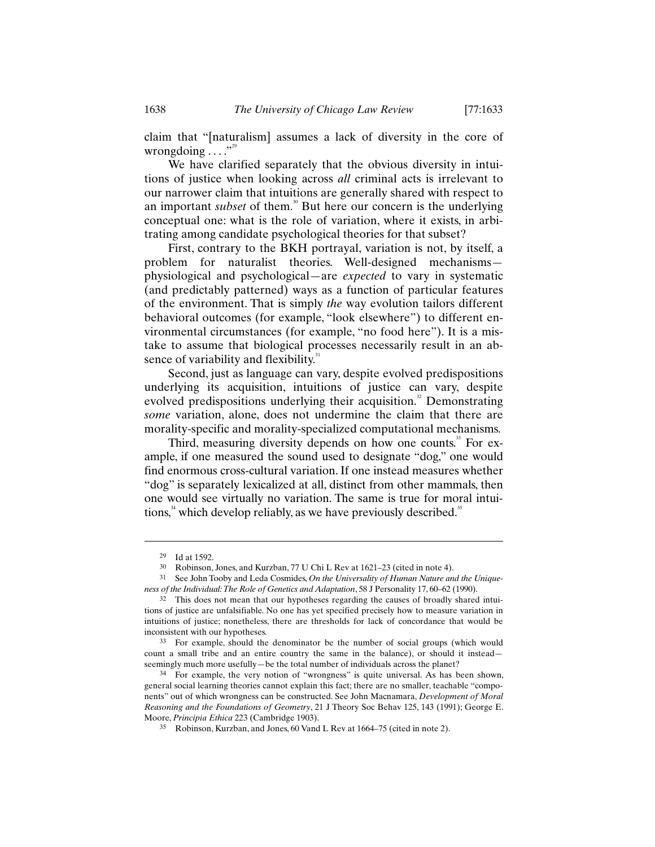claim that "[naturalism] assumes a lack of diversity in the core of wrongdoing  $\ldots$ ."

We have clarified separately that the obvious diversity in intuitions of justice when looking across *all* criminal acts is irrelevant to our narrower claim that intuitions are generally shared with respect to an important *subset* of them.<sup>30</sup> But here our concern is the underlying conceptual one: what is the role of variation, where it exists, in arbitrating among candidate psychological theories for that subset?

First, contrary to the BKH portrayal, variation is not, by itself, a problem for naturalist theories. Well-designed mechanisms physiological and psychological—are *expected* to vary in systematic (and predictably patterned) ways as a function of particular features of the environment. That is simply *the* way evolution tailors different behavioral outcomes (for example, "look elsewhere") to different environmental circumstances (for example, "no food here"). It is a mistake to assume that biological processes necessarily result in an absence of variability and flexibility.<sup>31</sup>

Second, just as language can vary, despite evolved predispositions underlying its acquisition, intuitions of justice can vary, despite evolved predispositions underlying their acquisition.<sup>32</sup> Demonstrating *some* variation, alone, does not undermine the claim that there are morality-specific and morality-specialized computational mechanisms.

Third, measuring diversity depends on how one counts.<sup>33</sup> For example, if one measured the sound used to designate "dog," one would find enormous cross-cultural variation. If one instead measures whether "dog" is separately lexicalized at all, distinct from other mammals, then one would see virtually no variation. The same is true for moral intuitions, $34$  which develop reliably, as we have previously described.<sup>35</sup>

<sup>29</sup> Id at 1592.

<sup>30</sup> Robinson, Jones, and Kurzban, 77 U Chi L Rev at 1621–23 (cited in note 4).<br>31 See John Toopy and Lada Cosmides On the Universality of Human Nature and

See John Tooby and Leda Cosmides, *On the Universality of Human Nature and the Uniqueness of the Individual: The Role of Genetics and Adaptation*, 58 J Personality 17, 60–62 (1990).

<sup>32</sup> This does not mean that our hypotheses regarding the causes of broadly shared intuitions of justice are unfalsifiable. No one has yet specified precisely how to measure variation in intuitions of justice; nonetheless, there are thresholds for lack of concordance that would be inconsistent with our hypotheses.

<sup>33</sup> For example, should the denominator be the number of social groups (which would count a small tribe and an entire country the same in the balance), or should it instead seemingly much more usefully—be the total number of individuals across the planet?

<sup>34</sup> For example, the very notion of "wrongness" is quite universal. As has been shown, general social learning theories cannot explain this fact; there are no smaller, teachable "components" out of which wrongness can be constructed. See John Macnamara, *Development of Moral Reasoning and the Foundations of Geometry*, 21 J Theory Soc Behav 125, 143 (1991); George E. Moore, *Principia Ethica* 223 (Cambridge 1903).

<sup>35</sup> Robinson, Kurzban, and Jones, 60 Vand L Rev at 1664–75 (cited in note 2).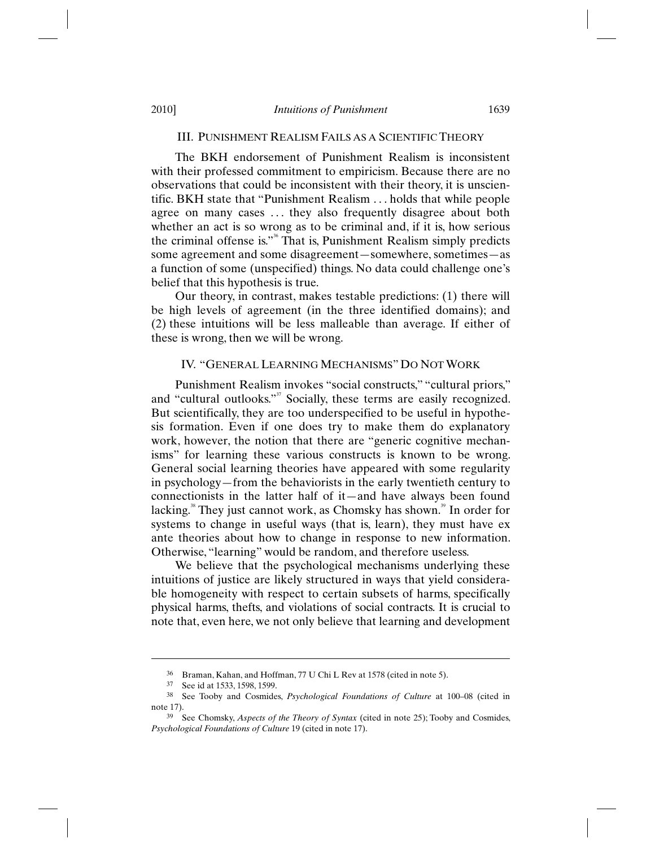#### III. PUNISHMENT REALISM FAILS AS A SCIENTIFIC THEORY

The BKH endorsement of Punishment Realism is inconsistent with their professed commitment to empiricism. Because there are no observations that could be inconsistent with their theory, it is unscientific. BKH state that "Punishment Realism . . . holds that while people agree on many cases . . . they also frequently disagree about both whether an act is so wrong as to be criminal and, if it is, how serious the criminal offense is." $\delta$ <sup>36</sup> That is, Punishment Realism simply predicts some agreement and some disagreement—somewhere, sometimes—as a function of some (unspecified) things. No data could challenge one's belief that this hypothesis is true.

Our theory, in contrast, makes testable predictions: (1) there will be high levels of agreement (in the three identified domains); and (2) these intuitions will be less malleable than average. If either of these is wrong, then we will be wrong.

## IV. "GENERAL LEARNING MECHANISMS" DO NOT WORK

Punishment Realism invokes "social constructs," "cultural priors," and "cultural outlooks."<sup>37</sup> Socially, these terms are easily recognized. But scientifically, they are too underspecified to be useful in hypothesis formation. Even if one does try to make them do explanatory work, however, the notion that there are "generic cognitive mechanisms" for learning these various constructs is known to be wrong. General social learning theories have appeared with some regularity in psychology—from the behaviorists in the early twentieth century to connectionists in the latter half of it—and have always been found lacking.<sup>38</sup> They just cannot work, as Chomsky has shown.<sup>39</sup> In order for systems to change in useful ways (that is, learn), they must have ex ante theories about how to change in response to new information. Otherwise, "learning" would be random, and therefore useless.

We believe that the psychological mechanisms underlying these intuitions of justice are likely structured in ways that yield considerable homogeneity with respect to certain subsets of harms, specifically physical harms, thefts, and violations of social contracts. It is crucial to note that, even here, we not only believe that learning and development

<sup>36</sup> Braman, Kahan, and Hoffman, 77 U Chi L Rev at 1578 (cited in note 5).

<sup>37</sup> See id at 1533, 1598, 1599.

<sup>38</sup> See Tooby and Cosmides, *Psychological Foundations of Culture* at 100–08 (cited in note 17).

<sup>39</sup> See Chomsky, *Aspects of the Theory of Syntax* (cited in note 25); Tooby and Cosmides, *Psychological Foundations of Culture* 19 (cited in note 17).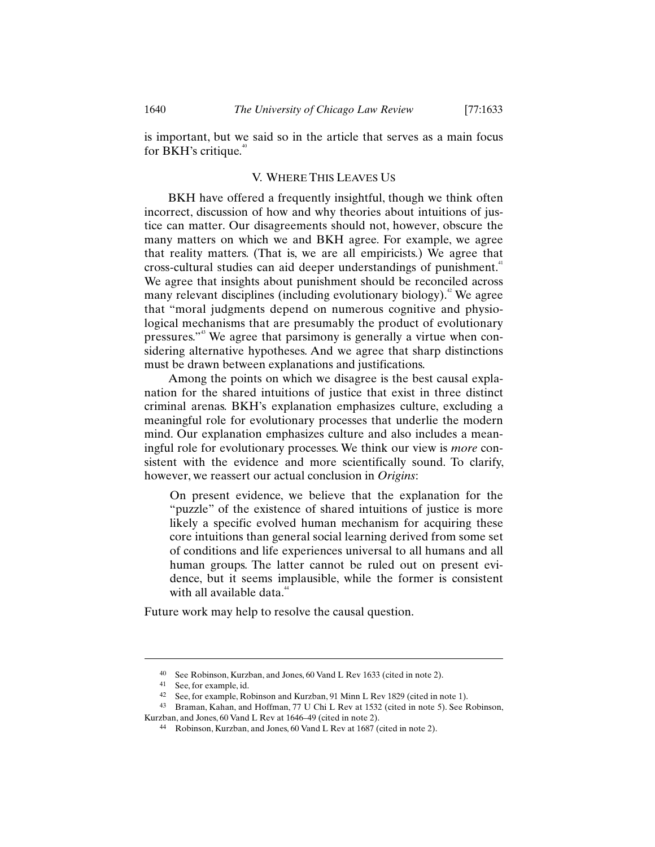is important, but we said so in the article that serves as a main focus for BKH's critique.<sup>40</sup>

## V. WHERE THIS LEAVES US

BKH have offered a frequently insightful, though we think often incorrect, discussion of how and why theories about intuitions of justice can matter. Our disagreements should not, however, obscure the many matters on which we and BKH agree. For example, we agree that reality matters. (That is, we are all empiricists.) We agree that cross-cultural studies can aid deeper understandings of punishment.<sup>41</sup> We agree that insights about punishment should be reconciled across many relevant disciplines (including evolutionary biology).<sup>2</sup> We agree that "moral judgments depend on numerous cognitive and physiological mechanisms that are presumably the product of evolutionary pressures."43 We agree that parsimony is generally a virtue when considering alternative hypotheses. And we agree that sharp distinctions must be drawn between explanations and justifications.

Among the points on which we disagree is the best causal explanation for the shared intuitions of justice that exist in three distinct criminal arenas. BKH's explanation emphasizes culture, excluding a meaningful role for evolutionary processes that underlie the modern mind. Our explanation emphasizes culture and also includes a meaningful role for evolutionary processes. We think our view is *more* consistent with the evidence and more scientifically sound. To clarify, however, we reassert our actual conclusion in *Origins*:

On present evidence, we believe that the explanation for the "puzzle" of the existence of shared intuitions of justice is more likely a specific evolved human mechanism for acquiring these core intuitions than general social learning derived from some set of conditions and life experiences universal to all humans and all human groups. The latter cannot be ruled out on present evidence, but it seems implausible, while the former is consistent with all available data.<sup>44</sup>

Future work may help to resolve the causal question.

<sup>40</sup> See Robinson, Kurzban, and Jones, 60 Vand L Rev 1633 (cited in note 2).

<sup>41</sup> See, for example, id.

<sup>42</sup> See, for example, Robinson and Kurzban, 91 Minn L Rev 1829 (cited in note 1).

<sup>43</sup> Braman, Kahan, and Hoffman, 77 U Chi L Rev at 1532 (cited in note 5). See Robinson, Kurzban, and Jones, 60 Vand L Rev at 1646–49 (cited in note 2).

<sup>44</sup> Robinson, Kurzban, and Jones, 60 Vand L Rev at 1687 (cited in note 2).